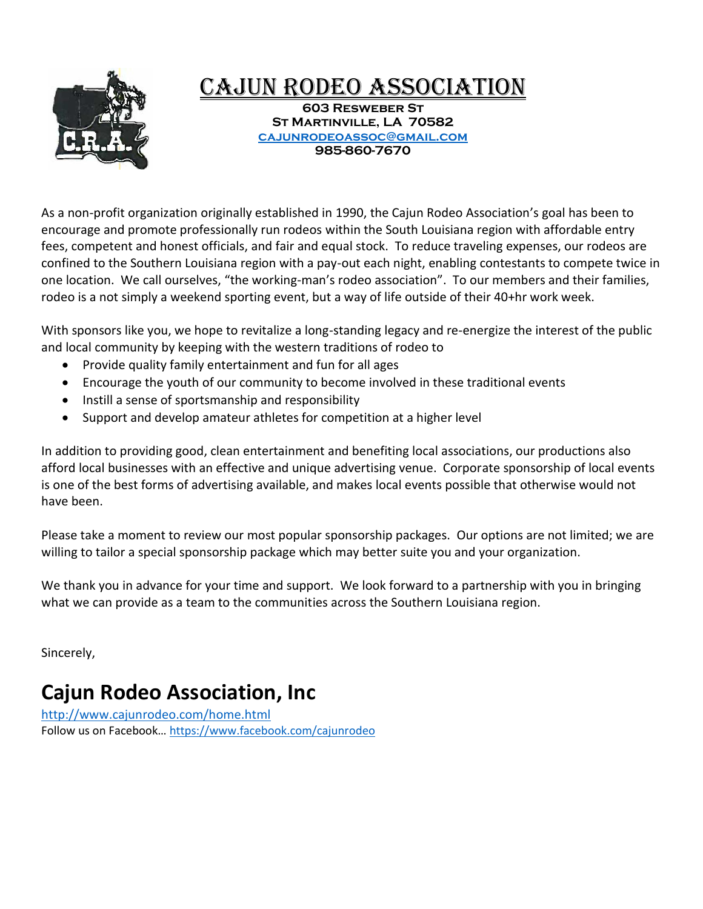

# CAJUN RODEO ASSOCIATION

**603 Resweber St St Martinville, LA 70582 [cajunrodeoassoc@gmail.com](mailto:cajunrodeoassoc@gmail.com) 985-860-7670**

As a non-profit organization originally established in 1990, the Cajun Rodeo Association's goal has been to encourage and promote professionally run rodeos within the South Louisiana region with affordable entry fees, competent and honest officials, and fair and equal stock. To reduce traveling expenses, our rodeos are confined to the Southern Louisiana region with a pay-out each night, enabling contestants to compete twice in one location. We call ourselves, "the working-man's rodeo association". To our members and their families, rodeo is a not simply a weekend sporting event, but a way of life outside of their 40+hr work week.

With sponsors like you, we hope to revitalize a long-standing legacy and re-energize the interest of the public and local community by keeping with the western traditions of rodeo to

- Provide quality family entertainment and fun for all ages
- Encourage the youth of our community to become involved in these traditional events
- Instill a sense of sportsmanship and responsibility
- Support and develop amateur athletes for competition at a higher level

In addition to providing good, clean entertainment and benefiting local associations, our productions also afford local businesses with an effective and unique advertising venue. Corporate sponsorship of local events is one of the best forms of advertising available, and makes local events possible that otherwise would not have been.

Please take a moment to review our most popular sponsorship packages. Our options are not limited; we are willing to tailor a special sponsorship package which may better suite you and your organization.

We thank you in advance for your time and support. We look forward to a partnership with you in bringing what we can provide as a team to the communities across the Southern Louisiana region.

Sincerely,

# **Cajun Rodeo Association, Inc**

<http://www.cajunrodeo.com/home.html> Follow us on Facebook… <https://www.facebook.com/cajunrodeo>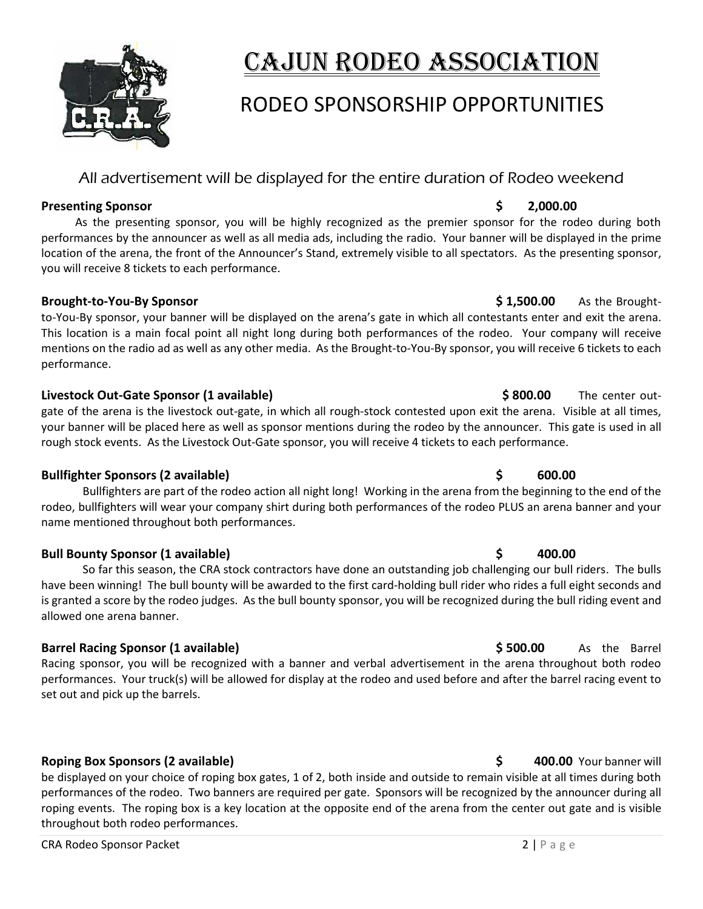

# Cajun Rodeo Association

# RODEO SPONSORSHIP OPPORTUNITIES

# All advertisement will be displayed for the entire duration of Rodeo weekend

### **Presenting Sponsor by a 2,000.00 \$ 2,000.00**

 As the presenting sponsor, you will be highly recognized as the premier sponsor for the rodeo during both performances by the announcer as well as all media ads, including the radio. Your banner will be displayed in the prime location of the arena, the front of the Announcer's Stand, extremely visible to all spectators. As the presenting sponsor, you will receive 8 tickets to each performance.

## **Brought-to-You-By Sponsor \$ 1,500.00** As the Brought-

to-You-By sponsor, your banner will be displayed on the arena's gate in which all contestants enter and exit the arena. This location is a main focal point all night long during both performances of the rodeo. Your company will receive mentions on the radio ad as well as any other media. As the Brought-to-You-By sponsor, you will receive 6 tickets to each performance.

## **Livestock Out-Gate Sponsor (1 available) \$ 800.00** The center out-

gate of the arena is the livestock out-gate, in which all rough-stock contested upon exit the arena. Visible at all times, your banner will be placed here as well as sponsor mentions during the rodeo by the announcer. This gate is used in all rough stock events. As the Livestock Out-Gate sponsor, you will receive 4 tickets to each performance.

# **Bullfighter Sponsors (2 available) \$ 600.00**

Bullfighters are part of the rodeo action all night long! Working in the arena from the beginning to the end of the rodeo, bullfighters will wear your company shirt during both performances of the rodeo PLUS an arena banner and your name mentioned throughout both performances.

## **Bull Bounty Sponsor (1 available) \$ 400.00**

So far this season, the CRA stock contractors have done an outstanding job challenging our bull riders. The bulls have been winning! The bull bounty will be awarded to the first card-holding bull rider who rides a full eight seconds and is granted a score by the rodeo judges. As the bull bounty sponsor, you will be recognized during the bull riding event and allowed one arena banner.

# **Barrel Racing Sponsor (1 available) \$ 500.00** As the Barrel

Racing sponsor, you will be recognized with a banner and verbal advertisement in the arena throughout both rodeo performances. Your truck(s) will be allowed for display at the rodeo and used before and after the barrel racing event to set out and pick up the barrels.

# **Roping Box Sponsors (2 available) \$ 400.00** Your banner will

be displayed on your choice of roping box gates, 1 of 2, both inside and outside to remain visible at all times during both performances of the rodeo. Two banners are required per gate. Sponsors will be recognized by the announcer during all roping events. The roping box is a key location at the opposite end of the arena from the center out gate and is visible throughout both rodeo performances.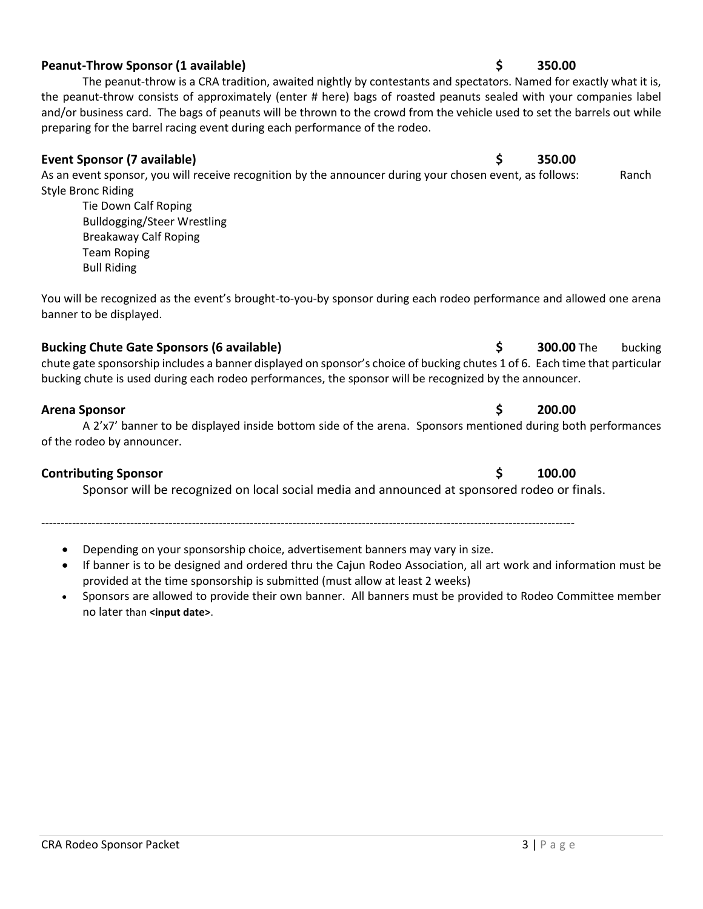# **Peanut-Throw Sponsor (1 available) \$ 350.00**

The peanut-throw is a CRA tradition, awaited nightly by contestants and spectators. Named for exactly what it is, the peanut-throw consists of approximately (enter # here) bags of roasted peanuts sealed with your companies label and/or business card. The bags of peanuts will be thrown to the crowd from the vehicle used to set the barrels out while preparing for the barrel racing event during each performance of the rodeo.

# **Event Sponsor (7 available) \$ 350.00**

As an event sponsor, you will receive recognition by the announcer during your chosen event, as follows: Ranch Style Bronc Riding

Tie Down Calf Roping Bulldogging/Steer Wrestling Breakaway Calf Roping Team Roping Bull Riding

You will be recognized as the event's brought-to-you-by sponsor during each rodeo performance and allowed one arena banner to be displayed.

# **Bucking Chute Gate Sponsors (6 available) \$ 300.00** The bucking

chute gate sponsorship includes a banner displayed on sponsor's choice of bucking chutes 1 of 6. Each time that particular bucking chute is used during each rodeo performances, the sponsor will be recognized by the announcer.

# **Arena Sponsor \$ 200.00**

## A 2'x7' banner to be displayed inside bottom side of the arena. Sponsors mentioned during both performances of the rodeo by announcer.

# **Contributing Sponsor \$ 100.00**

Sponsor will be recognized on local social media and announced at sponsored rodeo or finals.

------------------------------------------------------------------------------------------------------------------------------------------

- Depending on your sponsorship choice, advertisement banners may vary in size. • If banner is to be designed and ordered thru the Cajun Rodeo Association, all art work and information must be provided at the time sponsorship is submitted (must allow at least 2 weeks)
- Sponsors are allowed to provide their own banner. All banners must be provided to Rodeo Committee member no later than **<input date>**.